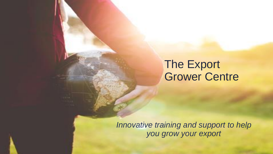## The Export Grower Centre

*Innovative training and support to help you grow your export*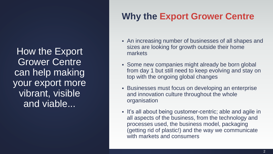How the Export Grower Centre can help making your export more vibrant, visible and viable...

## **Why the Export Grower Centre**

- An increasing number of businesses of all shapes and sizes are looking for growth outside their home markets
- Some new companies might already be born global from day 1 but still need to keep evolving and stay on top with the ongoing global changes
- **EXECT:** Businesses must focus on developing an enterprise and innovation culture throughout the whole organisation
- It's all about being customer-centric; able and agile in all aspects of the business, from the technology and processes used, the business model, packaging (getting rid of plastic!) and the way we communicate with markets and consumers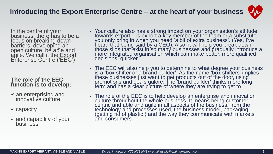In the centre of your business, there has to be a focus on breaking down barriers, developing an open culture, be able and agile. We call it the Export Enterprise Centre ('EEC')

### **The role of the EEC function is to develop:**

- $\times$  an enterprising and innovative culture
- ✓ capacity
- $\times$  and capability of your **business**
- Your culture also has a strong impact on your organisation's attitude towards export – is export a key member of the team or a substitute you only bring in when you need 'a bit of extra business'. (Yes, I've heard that being said by a CEO). Also, it will help you break down those silos that exist in so many businesses and gradually introduce a more integrated organisation which can make better, more qualified decisions, quicker
- The EEC will also help you to determine to what degree your business is a 'box shifter or a brand builder'. As the name 'box shifters' implies these businesses just want to get products out of the door, using promotions and deals galore. The 'brand builder' thinks more long term and has a clear picture of where they are trying to get to
- **The role of the EEC is to help develop an enterprise and innovation** culture throughout the whole business. It means being customercentric and able and agile in all aspects of the business, from the technology and processes used, the business model, packaging (getting rid of plastic!) and the way they communicate with markets and consumers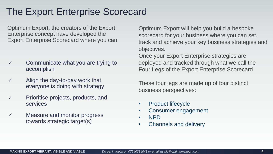## The Export Enterprise Scorecard

Optimum Export, the creators of the Export Enterprise concept have developed the Export Enterprise Scorecard where you can

- $\checkmark$  Communicate what you are trying to accomplish
- $\checkmark$  Align the day-to-day work that everyone is doing with strategy
- ✓ Prioritise projects, products, and services
- $\checkmark$  Measure and monitor progress towards strategic target(s)

Optimum Export will help you build a bespoke scorecard for your business where you can set, track and achieve your key business strategies and objectives.

Once your Export Enterprise strategies are deployed and tracked through what we call the Four Legs of the Export Enterprise Scorecard

These four legs are made up of four distinct business perspectives:

- Product lifecycle
- Consumer engagement
- NPD
- Channels and delivery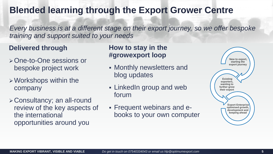## **Blended learning through the Export Grower Centre**

*Every business is at a different stage on their export journey, so we offer bespoke training and support suited to your needs*

### **Delivered through**

- ➢One-to-One sessions or bespoke project work
- ➢Workshops within the company
- ➢Consultancy; an all-round review of the key aspects of the international opportunities around you

### **How to stay in the #growexport loop**

- **Monthly newsletters and** blog updates
- **Example 1** LinkedIn group and web forum
- Frequent webinars and ebooks to your own computer

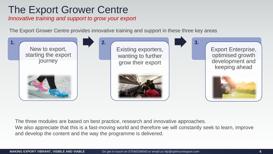## The Export Grower Centre

*Innovative training and support to grow your export*

The Export Grower Centre provides innovative training and support in these three key areas



The three modules are based on best practice, research and innovative approaches.

We also appreciate that this is a fast-moving world and therefore we will constantly seek to learn, improve and develop the content and the way the programme is delivered.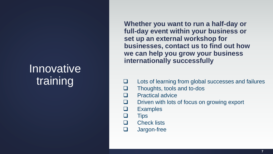# **Innovative** training

**Whether you want to run a half-day or full-day event within your business or set up an external workshop for businesses, contact us to find out how we can help you grow your business internationally successfully**

- ❑ Lots of learning from global successes and failures
- ❑ Thoughts, tools and to-dos
- ❑ Practical advice
- ❑ Driven with lots of focus on growing export
	- **Examples**
- ❑ Tips
	- ❑ Check lists
- ❑ Jargon-free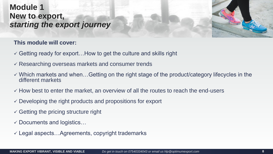### **Module 1 New to export,**  *starting the export journey*

### **This module will cover:**

- $\checkmark$  Getting ready for export... How to get the culture and skills right
- $\checkmark$  Researching overseas markets and consumer trends
- $\checkmark$  Which markets and when...Getting on the right stage of the product/category lifecycles in the different markets
- $\checkmark$  How best to enter the market, an overview of all the routes to reach the end-users
- $\checkmark$  Developing the right products and propositions for export
- $\checkmark$  Getting the pricing structure right
- $\checkmark$  Documents and logistics...
- $\checkmark$  Legal aspects... Agreements, copyright trademarks

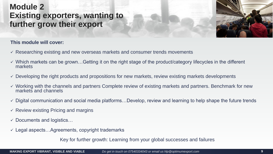### **Module 2 Existing exporters, wanting to further grow their export**

#### **This module will cover:**

- $\checkmark$  Researching existing and new overseas markets and consumer trends movements
- ✓ Which markets can be grown…Getting it on the right stage of the product/category lifecycles in the different markets
- $\checkmark$  Developing the right products and propositions for new markets, review existing markets developments
- ✓ Working with the channels and partners Complete review of existing markets and partners. Benchmark for new markets and channels
- $\checkmark$  Digital communication and social media platforms...Develop, review and learning to help shape the future trends
- $\checkmark$  Review existing Pricing and margins
- $\checkmark$  Documents and logistics...
- $\checkmark$  Legal aspects... Agreements, copyright trademarks

Key for further growth: Learning from your global successes and failures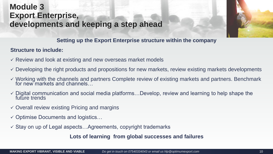### **Module 3 Export Enterprise, developments and keeping a step ahead**



### **Setting up the Export Enterprise structure within the company**

### **Structure to include:**

- $\checkmark$  Review and look at existing and new overseas market models
- $\checkmark$  Developing the right products and propositions for new markets, review existing markets developments
- ✓ Working with the channels and partners Complete review of existing markets and partners. Benchmark for new markets and channels…
- $\checkmark$  Digital communication and social media platforms...Develop, review and learning to help shape the future trends
- $\checkmark$  Overall review existing Pricing and margins
- ✓ Optimise Documents and logistics…
- $\checkmark$  Stay on up of Legal aspects... Agreements, copyright trademarks

**Lots of learning from global successes and failures**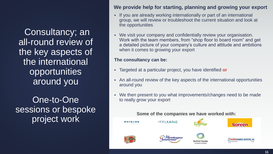Consultancy; an all-round review of the key aspects of the international opportunities around you

One-to-One sessions or bespoke project work

### **We provide help for starting, planning and growing your export**

- If you are already working internationally or part of an international group, we will review or troubleshoot the current situation and look at the opportunities
- We visit your company and confidentially review your organisation. Work with the team members, from "shop floor to board room" and get a detailed picture of your company's culture and attitude and ambitions when it comes to growing your export

#### **The consultancy can be:**

- Targeted at a particular project, you have identified **or**
- An all-round review of the key aspects of the international opportunities around you
- We then present to you what improvements/changes need to be made to really grow your export

#### **Some of the companies we have worked with:**

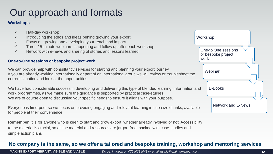## Our approach and formats

#### **Workshops**

- ✓ Half-day workshop
- $\checkmark$  Introducing the ethos and ideas behind growing your export
- $\checkmark$  Focus on growing and developing your reach and impact
- $\checkmark$  Three 15-minute webinars, supporting and follow up after each workshop
- ✓ Network with e-news and sharing of stories and lessons learned

#### **One-to-One sessions or bespoke project work**

We can provide help with consultancy services for starting and planning your export journey. If you are already working internationally or part of an international group we will review or troubleshoot the current situation and look at the opportunities

We have had considerable success in developing and delivering this type of blended learning, information and work programmes, as we make sure the guidance is supported by practical case-studies. We are of course open to discussing your specific needs to ensure it aligns with your purpose.

Everyone is time-poor so we focus on providing engaging and relevant learning in bite-size chunks, available for people at their convenience.

**Remember,** it is for anyone who is keen to start and grow export, whether already involved or not. Accessibility to the material is crucial, so all the material and resources are jargon-free, packed with case-studies and simple action plans

## Workshop One-to One sessions or bespoke project work **Webinar** E-Books Network and E-News

### **No company is the same, so we offer a tailored and bespoke training, workshop and mentoring services**